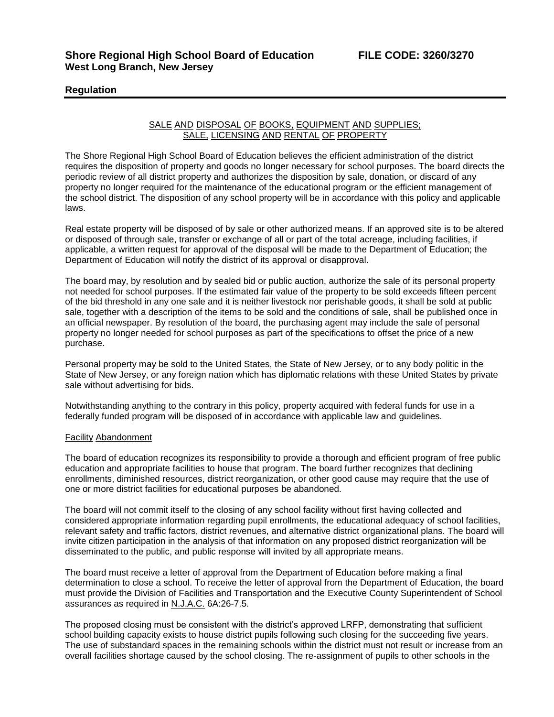### **Regulation**

### SALE AND DISPOSAL OF BOOKS, EQUIPMENT AND SUPPLIES; SALE, LICENSING AND RENTAL OF PROPERTY

The Shore Regional High School Board of Education believes the efficient administration of the district requires the disposition of property and goods no longer necessary for school purposes. The board directs the periodic review of all district property and authorizes the disposition by sale, donation, or discard of any property no longer required for the maintenance of the educational program or the efficient management of the school district. The disposition of any school property will be in accordance with this policy and applicable laws.

Real estate property will be disposed of by sale or other authorized means. If an approved site is to be altered or disposed of through sale, transfer or exchange of all or part of the total acreage, including facilities, if applicable, a written request for approval of the disposal will be made to the Department of Education; the Department of Education will notify the district of its approval or disapproval.

The board may, by resolution and by sealed bid or public auction, authorize the sale of its personal property not needed for school purposes. If the estimated fair value of the property to be sold exceeds fifteen percent of the bid threshold in any one sale and it is neither livestock nor perishable goods, it shall be sold at public sale, together with a description of the items to be sold and the conditions of sale, shall be published once in an official newspaper. By resolution of the board, the purchasing agent may include the sale of personal property no longer needed for school purposes as part of the specifications to offset the price of a new purchase.

Personal property may be sold to the United States, the State of New Jersey, or to any body politic in the State of New Jersey, or any foreign nation which has diplomatic relations with these United States by private sale without advertising for bids.

Notwithstanding anything to the contrary in this policy, property acquired with federal funds for use in a federally funded program will be disposed of in accordance with applicable law and guidelines.

#### Facility Abandonment

The board of education recognizes its responsibility to provide a thorough and efficient program of free public education and appropriate facilities to house that program. The board further recognizes that declining enrollments, diminished resources, district reorganization, or other good cause may require that the use of one or more district facilities for educational purposes be abandoned.

The board will not commit itself to the closing of any school facility without first having collected and considered appropriate information regarding pupil enrollments, the educational adequacy of school facilities, relevant safety and traffic factors, district revenues, and alternative district organizational plans. The board will invite citizen participation in the analysis of that information on any proposed district reorganization will be disseminated to the public, and public response will invited by all appropriate means.

The board must receive a letter of approval from the Department of Education before making a final determination to close a school. To receive the letter of approval from the Department of Education, the board must provide the Division of Facilities and Transportation and the Executive County Superintendent of School assurances as required in N.J.A.C. 6A:26-7.5.

The proposed closing must be consistent with the district's approved LRFP, demonstrating that sufficient school building capacity exists to house district pupils following such closing for the succeeding five years. The use of substandard spaces in the remaining schools within the district must not result or increase from an overall facilities shortage caused by the school closing. The re-assignment of pupils to other schools in the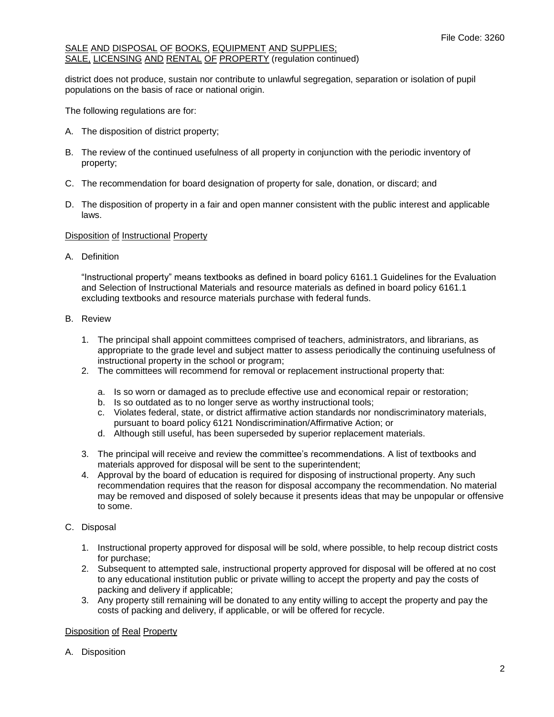district does not produce, sustain nor contribute to unlawful segregation, separation or isolation of pupil populations on the basis of race or national origin.

The following regulations are for:

- A. The disposition of district property;
- B. The review of the continued usefulness of all property in conjunction with the periodic inventory of property;
- C. The recommendation for board designation of property for sale, donation, or discard; and
- D. The disposition of property in a fair and open manner consistent with the public interest and applicable laws.

### Disposition of Instructional Property

A. Definition

"Instructional property" means textbooks as defined in board policy 6161.1 Guidelines for the Evaluation and Selection of Instructional Materials and resource materials as defined in board policy 6161.1 excluding textbooks and resource materials purchase with federal funds.

- B. Review
	- 1. The principal shall appoint committees comprised of teachers, administrators, and librarians, as appropriate to the grade level and subject matter to assess periodically the continuing usefulness of instructional property in the school or program;
	- 2. The committees will recommend for removal or replacement instructional property that:
		- a. Is so worn or damaged as to preclude effective use and economical repair or restoration;
		- b. Is so outdated as to no longer serve as worthy instructional tools;
		- c. Violates federal, state, or district affirmative action standards nor nondiscriminatory materials, pursuant to board policy 6121 Nondiscrimination/Affirmative Action; or
		- d. Although still useful, has been superseded by superior replacement materials.
	- 3. The principal will receive and review the committee's recommendations. A list of textbooks and materials approved for disposal will be sent to the superintendent;
	- 4. Approval by the board of education is required for disposing of instructional property. Any such recommendation requires that the reason for disposal accompany the recommendation. No material may be removed and disposed of solely because it presents ideas that may be unpopular or offensive to some.
- C. Disposal
	- 1. Instructional property approved for disposal will be sold, where possible, to help recoup district costs for purchase;
	- 2. Subsequent to attempted sale, instructional property approved for disposal will be offered at no cost to any educational institution public or private willing to accept the property and pay the costs of packing and delivery if applicable;
	- 3. Any property still remaining will be donated to any entity willing to accept the property and pay the costs of packing and delivery, if applicable, or will be offered for recycle.

# Disposition of Real Property

A. Disposition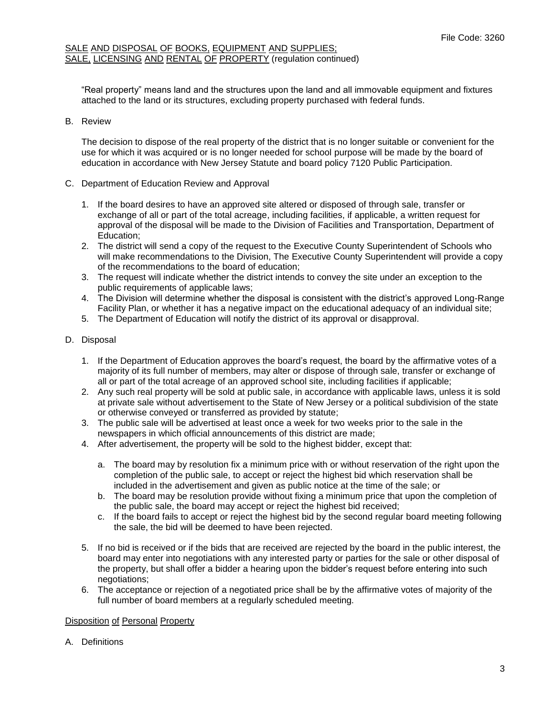"Real property" means land and the structures upon the land and all immovable equipment and fixtures attached to the land or its structures, excluding property purchased with federal funds.

# B. Review

The decision to dispose of the real property of the district that is no longer suitable or convenient for the use for which it was acquired or is no longer needed for school purpose will be made by the board of education in accordance with New Jersey Statute and board policy 7120 Public Participation.

- C. Department of Education Review and Approval
	- 1. If the board desires to have an approved site altered or disposed of through sale, transfer or exchange of all or part of the total acreage, including facilities, if applicable, a written request for approval of the disposal will be made to the Division of Facilities and Transportation, Department of Education;
	- 2. The district will send a copy of the request to the Executive County Superintendent of Schools who will make recommendations to the Division, The Executive County Superintendent will provide a copy of the recommendations to the board of education;
	- 3. The request will indicate whether the district intends to convey the site under an exception to the public requirements of applicable laws;
	- 4. The Division will determine whether the disposal is consistent with the district's approved Long-Range Facility Plan, or whether it has a negative impact on the educational adequacy of an individual site;
	- 5. The Department of Education will notify the district of its approval or disapproval.
- D. Disposal
	- 1. If the Department of Education approves the board's request, the board by the affirmative votes of a majority of its full number of members, may alter or dispose of through sale, transfer or exchange of all or part of the total acreage of an approved school site, including facilities if applicable;
	- 2. Any such real property will be sold at public sale, in accordance with applicable laws, unless it is sold at private sale without advertisement to the State of New Jersey or a political subdivision of the state or otherwise conveyed or transferred as provided by statute;
	- 3. The public sale will be advertised at least once a week for two weeks prior to the sale in the newspapers in which official announcements of this district are made;
	- 4. After advertisement, the property will be sold to the highest bidder, except that:
		- a. The board may by resolution fix a minimum price with or without reservation of the right upon the completion of the public sale, to accept or reject the highest bid which reservation shall be included in the advertisement and given as public notice at the time of the sale; or
		- b. The board may be resolution provide without fixing a minimum price that upon the completion of the public sale, the board may accept or reject the highest bid received;
		- c. If the board fails to accept or reject the highest bid by the second regular board meeting following the sale, the bid will be deemed to have been rejected.
	- 5. If no bid is received or if the bids that are received are rejected by the board in the public interest, the board may enter into negotiations with any interested party or parties for the sale or other disposal of the property, but shall offer a bidder a hearing upon the bidder's request before entering into such negotiations;
	- 6. The acceptance or rejection of a negotiated price shall be by the affirmative votes of majority of the full number of board members at a regularly scheduled meeting.

#### Disposition of Personal Property

A. Definitions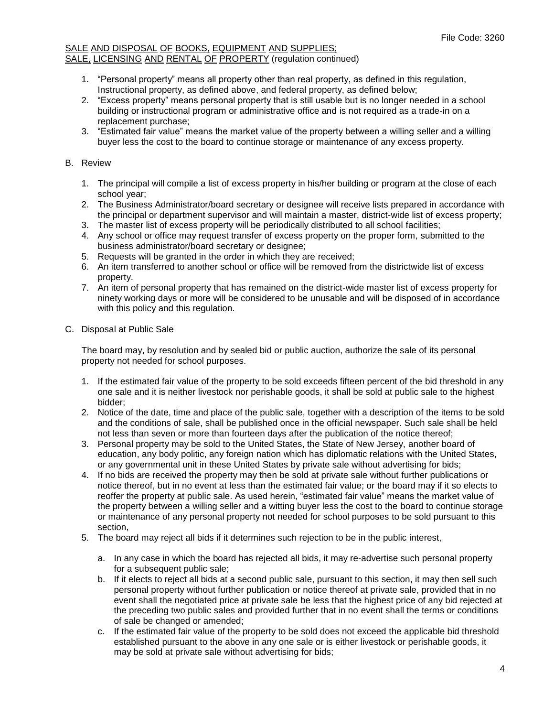- 1. "Personal property" means all property other than real property, as defined in this regulation, Instructional property, as defined above, and federal property, as defined below;
- 2. "Excess property" means personal property that is still usable but is no longer needed in a school building or instructional program or administrative office and is not required as a trade-in on a replacement purchase;
- 3. "Estimated fair value" means the market value of the property between a willing seller and a willing buyer less the cost to the board to continue storage or maintenance of any excess property.

# B. Review

- 1. The principal will compile a list of excess property in his/her building or program at the close of each school year;
- 2. The Business Administrator/board secretary or designee will receive lists prepared in accordance with the principal or department supervisor and will maintain a master, district-wide list of excess property;
- 3. The master list of excess property will be periodically distributed to all school facilities;
- 4. Any school or office may request transfer of excess property on the proper form, submitted to the business administrator/board secretary or designee;
- 5. Requests will be granted in the order in which they are received;
- 6. An item transferred to another school or office will be removed from the districtwide list of excess property.
- 7. An item of personal property that has remained on the district-wide master list of excess property for ninety working days or more will be considered to be unusable and will be disposed of in accordance with this policy and this regulation.
- C. Disposal at Public Sale

The board may, by resolution and by sealed bid or public auction, authorize the sale of its personal property not needed for school purposes.

- 1. If the estimated fair value of the property to be sold exceeds fifteen percent of the bid threshold in any one sale and it is neither livestock nor perishable goods, it shall be sold at public sale to the highest bidder;
- 2. Notice of the date, time and place of the public sale, together with a description of the items to be sold and the conditions of sale, shall be published once in the official newspaper. Such sale shall be held not less than seven or more than fourteen days after the publication of the notice thereof;
- 3. Personal property may be sold to the United States, the State of New Jersey, another board of education, any body politic, any foreign nation which has diplomatic relations with the United States, or any governmental unit in these United States by private sale without advertising for bids;
- 4. If no bids are received the property may then be sold at private sale without further publications or notice thereof, but in no event at less than the estimated fair value; or the board may if it so elects to reoffer the property at public sale. As used herein, "estimated fair value" means the market value of the property between a willing seller and a witting buyer less the cost to the board to continue storage or maintenance of any personal property not needed for school purposes to be sold pursuant to this section,
- 5. The board may reject all bids if it determines such rejection to be in the public interest,
	- a. In any case in which the board has rejected all bids, it may re-advertise such personal property for a subsequent public sale;
	- b. If it elects to reject all bids at a second public sale, pursuant to this section, it may then sell such personal property without further publication or notice thereof at private sale, provided that in no event shall the negotiated price at private sale be less that the highest price of any bid rejected at the preceding two public sales and provided further that in no event shall the terms or conditions of sale be changed or amended;
	- c. If the estimated fair value of the property to be sold does not exceed the applicable bid threshold established pursuant to the above in any one sale or is either livestock or perishable goods, it may be sold at private sale without advertising for bids;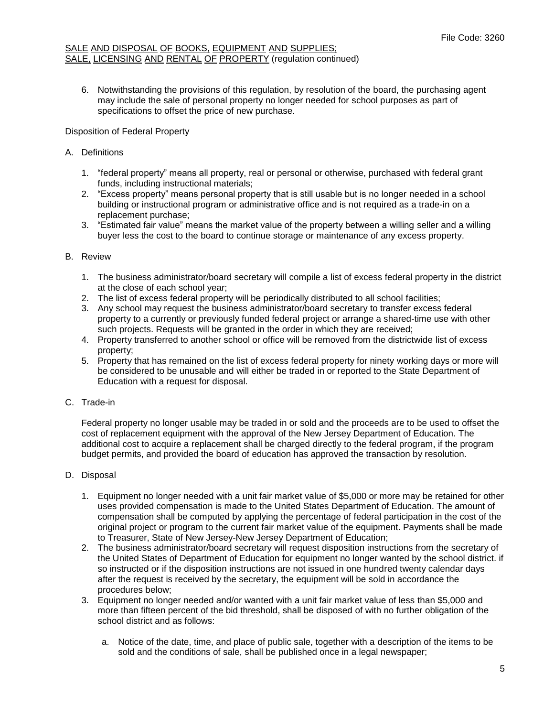6. Notwithstanding the provisions of this regulation, by resolution of the board, the purchasing agent may include the sale of personal property no longer needed for school purposes as part of specifications to offset the price of new purchase.

# Disposition of Federal Property

# A. Definitions

- 1. "federal property" means all property, real or personal or otherwise, purchased with federal grant funds, including instructional materials;
- 2. "Excess property" means personal property that is still usable but is no longer needed in a school building or instructional program or administrative office and is not required as a trade-in on a replacement purchase;
- 3. "Estimated fair value" means the market value of the property between a willing seller and a willing buyer less the cost to the board to continue storage or maintenance of any excess property.

# B. Review

- 1. The business administrator/board secretary will compile a list of excess federal property in the district at the close of each school year;
- 2. The list of excess federal property will be periodically distributed to all school facilities;
- 3. Any school may request the business administrator/board secretary to transfer excess federal property to a currently or previously funded federal project or arrange a shared-time use with other such projects. Requests will be granted in the order in which they are received;
- 4. Property transferred to another school or office will be removed from the districtwide list of excess property;
- 5. Property that has remained on the list of excess federal property for ninety working days or more will be considered to be unusable and will either be traded in or reported to the State Department of Education with a request for disposal.

# C. Trade-in

Federal property no longer usable may be traded in or sold and the proceeds are to be used to offset the cost of replacement equipment with the approval of the New Jersey Department of Education. The additional cost to acquire a replacement shall be charged directly to the federal program, if the program budget permits, and provided the board of education has approved the transaction by resolution.

# D. Disposal

- 1. Equipment no longer needed with a unit fair market value of \$5,000 or more may be retained for other uses provided compensation is made to the United States Department of Education. The amount of compensation shall be computed by applying the percentage of federal participation in the cost of the original project or program to the current fair market value of the equipment. Payments shall be made to Treasurer, State of New Jersey-New Jersey Department of Education;
- 2. The business administrator/board secretary will request disposition instructions from the secretary of the United States of Department of Education for equipment no longer wanted by the school district. if so instructed or if the disposition instructions are not issued in one hundred twenty calendar days after the request is received by the secretary, the equipment will be sold in accordance the procedures below;
- 3. Equipment no longer needed and/or wanted with a unit fair market value of less than \$5,000 and more than fifteen percent of the bid threshold, shall be disposed of with no further obligation of the school district and as follows:
	- a. Notice of the date, time, and place of public sale, together with a description of the items to be sold and the conditions of sale, shall be published once in a legal newspaper;